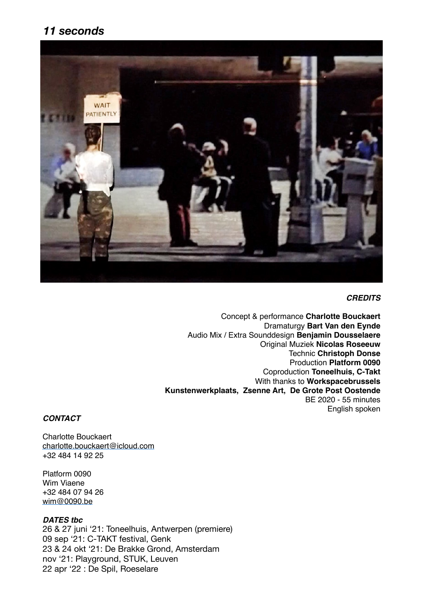## *11 seconds*



#### *CREDITS*

Concept & performance **Charlotte Bouckaert**  Dramaturgy **Bart Van den Eynde**  Audio Mix / Extra Sounddesign **Benjamin Dousselaere** Original Muziek **Nicolas Roseeuw** Technic **Christoph Donse** Production **Platform 0090** Coproduction **Toneelhuis, C-Takt** With thanks to **Workspacebrussels Kunstenwerkplaats, Zsenne Art, De Grote Post Oostende** BE 2020 - 55 minutes English spoken

### *CONTACT*

Charlotte Bouckaert [charlotte.bouckaert@icloud.com](mailto:charlotte.bouckaert@icloud.com) +32 484 14 92 25

Platform 0090 Wim Viaene +32 484 07 94 26 [wim@0090.be](mailto:wim@0090.be)

#### *DATES tbc*

26 & 27 juni '21: Toneelhuis, Antwerpen (premiere) 09 sep '21: C-TAKT festival, Genk 23 & 24 okt '21: De Brakke Grond, Amsterdam nov '21: Playground, STUK, Leuven 22 apr '22 : De Spil, Roeselare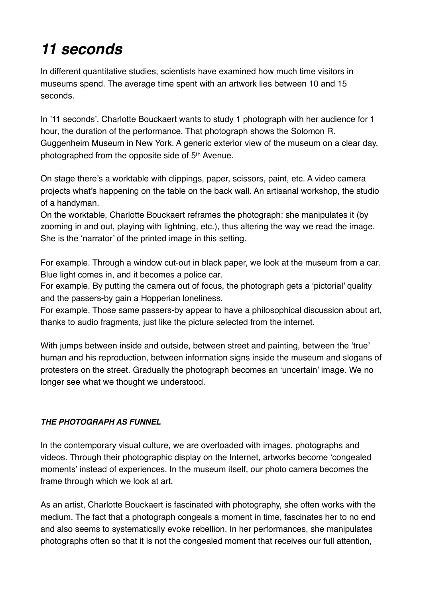## *11 seconds*

In different quantitative studies, scientists have examined how much time visitors in museums spend. The average time spent with an artwork lies between 10 and 15 seconds.

In '11 seconds', Charlotte Bouckaert wants to study 1 photograph with her audience for 1 hour, the duration of the performance. That photograph shows the Solomon R. Guggenheim Museum in New York. A generic exterior view of the museum on a clear day, photographed from the opposite side of 5th Avenue.

On stage there's a worktable with clippings, paper, scissors, paint, etc. A video camera projects what's happening on the table on the back wall. An artisanal workshop, the studio of a handyman.

On the worktable, Charlotte Bouckaert reframes the photograph: she manipulates it (by zooming in and out, playing with lightning, etc.), thus altering the way we read the image. She is the 'narrator' of the printed image in this setting.

For example. Through a window cut-out in black paper, we look at the museum from a car. Blue light comes in, and it becomes a police car.

For example. By putting the camera out of focus, the photograph gets a 'pictorial' quality and the passers-by gain a Hopperian loneliness.

For example. Those same passers-by appear to have a philosophical discussion about art, thanks to audio fragments, just like the picture selected from the internet.

With jumps between inside and outside, between street and painting, between the 'true' human and his reproduction, between information signs inside the museum and slogans of protesters on the street. Gradually the photograph becomes an 'uncertain' image. We no longer see what we thought we understood.

### *THE PHOTOGRAPH AS FUNNEL*

In the contemporary visual culture, we are overloaded with images, photographs and videos. Through their photographic display on the Internet, artworks become 'congealed moments' instead of experiences. In the museum itself, our photo camera becomes the frame through which we look at art.

As an artist, Charlotte Bouckaert is fascinated with photography, she often works with the medium. The fact that a photograph congeals a moment in time, fascinates her to no end and also seems to systematically evoke rebellion. In her performances, she manipulates photographs often so that it is not the congealed moment that receives our full attention,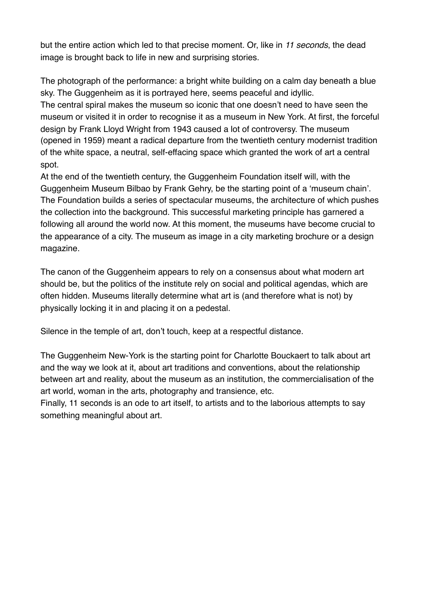but the entire action which led to that precise moment. Or, like in *11 seconds*, the dead image is brought back to life in new and surprising stories.

The photograph of the performance: a bright white building on a calm day beneath a blue sky. The Guggenheim as it is portrayed here, seems peaceful and idyllic.

The central spiral makes the museum so iconic that one doesn't need to have seen the museum or visited it in order to recognise it as a museum in New York. At first, the forceful design by Frank Lloyd Wright from 1943 caused a lot of controversy. The museum (opened in 1959) meant a radical departure from the twentieth century modernist tradition of the white space, a neutral, self-effacing space which granted the work of art a central spot.

At the end of the twentieth century, the Guggenheim Foundation itself will, with the Guggenheim Museum Bilbao by Frank Gehry, be the starting point of a 'museum chain'. The Foundation builds a series of spectacular museums, the architecture of which pushes the collection into the background. This successful marketing principle has garnered a following all around the world now. At this moment, the museums have become crucial to the appearance of a city. The museum as image in a city marketing brochure or a design magazine.

The canon of the Guggenheim appears to rely on a consensus about what modern art should be, but the politics of the institute rely on social and political agendas, which are often hidden. Museums literally determine what art is (and therefore what is not) by physically locking it in and placing it on a pedestal.

Silence in the temple of art, don't touch, keep at a respectful distance.

The Guggenheim New-York is the starting point for Charlotte Bouckaert to talk about art and the way we look at it, about art traditions and conventions, about the relationship between art and reality, about the museum as an institution, the commercialisation of the art world, woman in the arts, photography and transience, etc.

Finally, 11 seconds is an ode to art itself, to artists and to the laborious attempts to say something meaningful about art.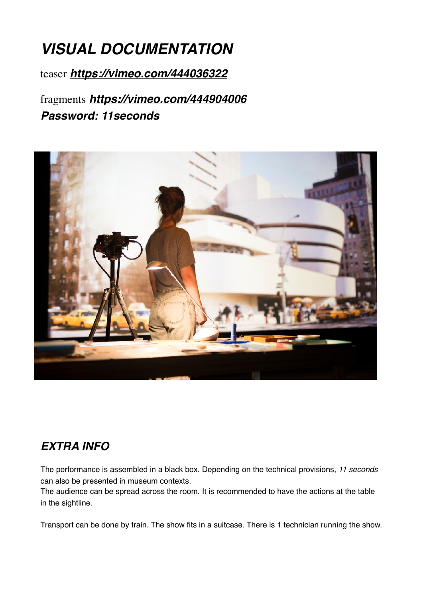## *VISUAL DOCUMENTATION*

teaser *<https://vimeo.com/444036322>*

fragments *<https://vimeo.com/444904006> Password: 11seconds*



## *EXTRA INFO*

The performance is assembled in a black box. Depending on the technical provisions, *11 seconds* can also be presented in museum contexts.

The audience can be spread across the room. It is recommended to have the actions at the table in the sightline.

Transport can be done by train. The show fits in a suitcase. There is 1 technician running the show.